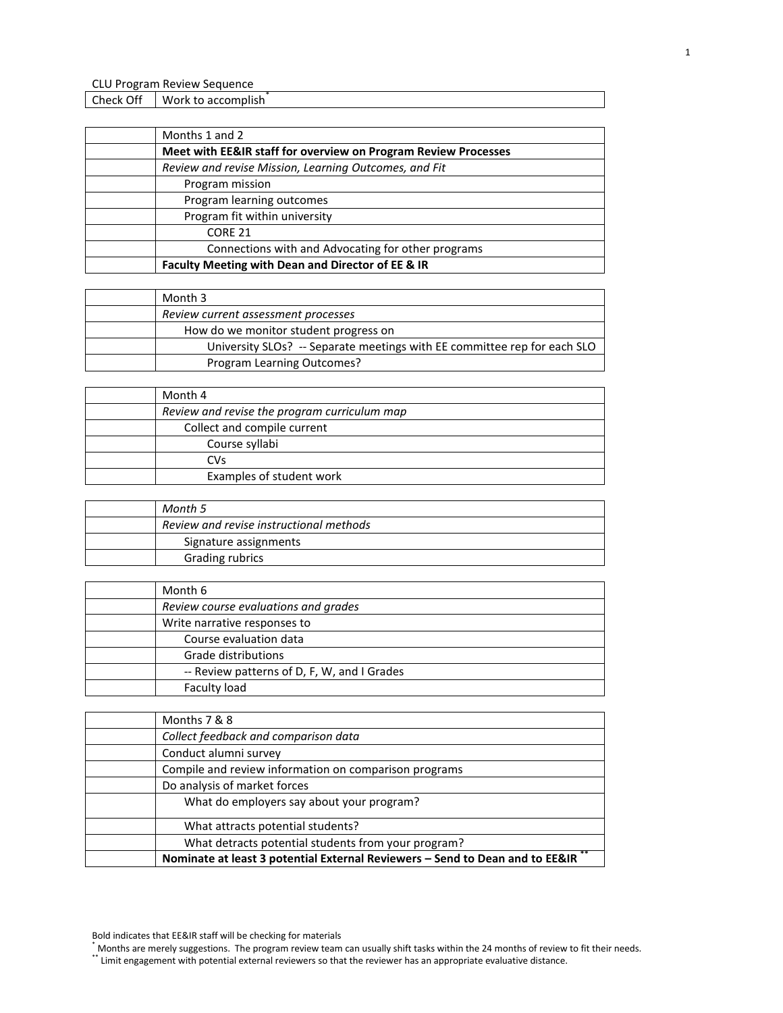Check Off Work to accomplish

| Month 3                                                                  |
|--------------------------------------------------------------------------|
| Review current assessment processes                                      |
| How do we monitor student progress on                                    |
| University SLOs? -- Separate meetings with EE committee rep for each SLO |
| Program Learning Outcomes?                                               |

| Month 4                                      |
|----------------------------------------------|
| Review and revise the program curriculum map |
| Collect and compile current                  |
| Course syllabi                               |
| CVs                                          |
| Examples of student work                     |

| Month 5                                 |
|-----------------------------------------|
| Review and revise instructional methods |
| Signature assignments                   |
| <b>Grading rubrics</b>                  |

| Month 6                                     |
|---------------------------------------------|
| Review course evaluations and grades        |
| Write narrative responses to                |
| Course evaluation data                      |
| Grade distributions                         |
| -- Review patterns of D, F, W, and I Grades |
| Faculty load                                |

| Months 7 & 8                                                                 |
|------------------------------------------------------------------------------|
| Collect feedback and comparison data                                         |
| Conduct alumni survey                                                        |
| Compile and review information on comparison programs                        |
| Do analysis of market forces                                                 |
| What do employers say about your program?                                    |
| What attracts potential students?                                            |
| What detracts potential students from your program?                          |
| Nominate at least 3 potential External Reviewers - Send to Dean and to EE&IR |

\*\* Limit engagement with potential external reviewers so that the reviewer has an appropriate evaluative distance.

Bold indicates that EE&IR staff will be checking for materials

<sup>\*</sup> Months are merely suggestions. The program review team can usually shift tasks within the 24 months of review to fit their needs.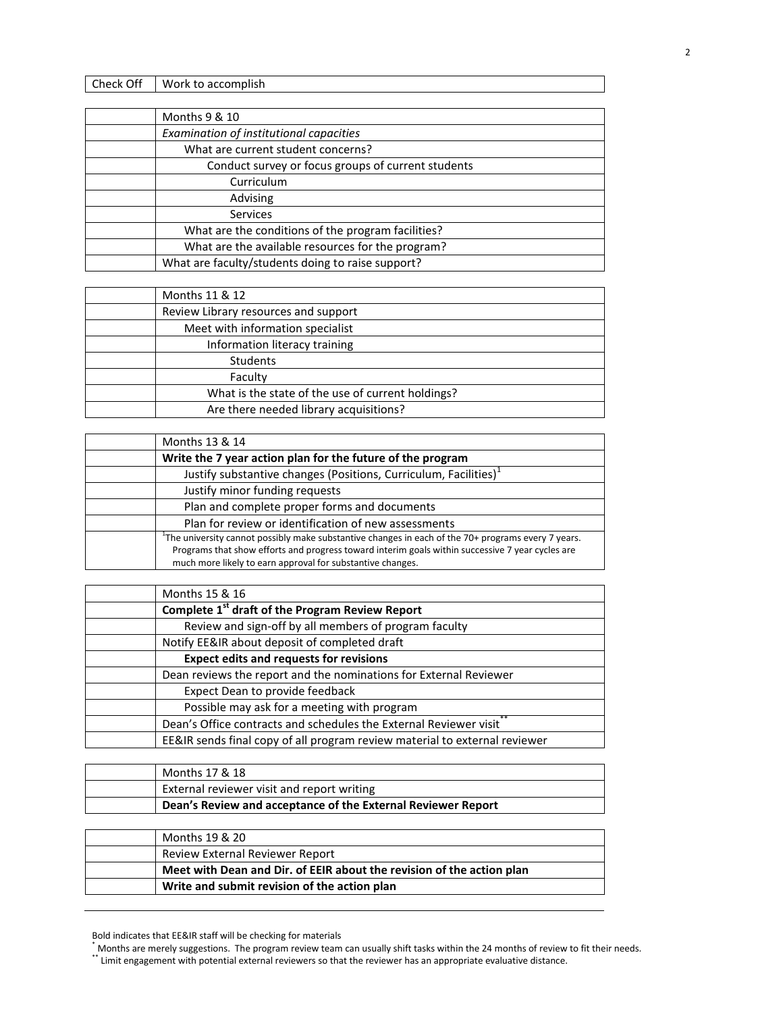| Check Off | Work to accomplish |
|-----------|--------------------|
|           |                    |

| Months 9 & 10                                      |
|----------------------------------------------------|
| Examination of institutional capacities            |
| What are current student concerns?                 |
| Conduct survey or focus groups of current students |
| Curriculum                                         |
| Advising                                           |
| <b>Services</b>                                    |
| What are the conditions of the program facilities? |
| What are the available resources for the program?  |
| What are faculty/students doing to raise support?  |
|                                                    |

| Months 11 & 12                                    |
|---------------------------------------------------|
| Review Library resources and support              |
| Meet with information specialist                  |
| Information literacy training                     |
| <b>Students</b>                                   |
| Faculty                                           |
| What is the state of the use of current holdings? |
| Are there needed library acquisitions?            |

| Months 13 & 14                                                                                                                                                                                                                                                                      |
|-------------------------------------------------------------------------------------------------------------------------------------------------------------------------------------------------------------------------------------------------------------------------------------|
| Write the 7 year action plan for the future of the program                                                                                                                                                                                                                          |
| Justify substantive changes (Positions, Curriculum, Facilities)                                                                                                                                                                                                                     |
| Justify minor funding requests                                                                                                                                                                                                                                                      |
| Plan and complete proper forms and documents                                                                                                                                                                                                                                        |
| Plan for review or identification of new assessments                                                                                                                                                                                                                                |
| <sup>1</sup> The university cannot possibly make substantive changes in each of the $70+$ programs every 7 years.<br>Programs that show efforts and progress toward interim goals within successive 7 year cycles are<br>much more likely to earn approval for substantive changes. |

| Months 15 & 16                                                             |
|----------------------------------------------------------------------------|
| Complete 1 <sup>st</sup> draft of the Program Review Report                |
| Review and sign-off by all members of program faculty                      |
| Notify EE&IR about deposit of completed draft                              |
| <b>Expect edits and requests for revisions</b>                             |
| Dean reviews the report and the nominations for External Reviewer          |
| Expect Dean to provide feedback                                            |
| Possible may ask for a meeting with program                                |
| Dean's Office contracts and schedules the External Reviewer visit          |
| EE&IR sends final copy of all program review material to external reviewer |

| Months 17 & 18                                               |
|--------------------------------------------------------------|
| External reviewer visit and report writing                   |
| Dean's Review and acceptance of the External Reviewer Report |

| Months 19 & 20                                                        |
|-----------------------------------------------------------------------|
| <b>Review External Reviewer Report</b>                                |
| Meet with Dean and Dir. of EEIR about the revision of the action plan |
| Write and submit revision of the action plan                          |

Bold indicates that EE&IR staff will be checking for materials

<sup>\*</sup> Months are merely suggestions. The program review team can usually shift tasks within the 24 months of review to fit their needs.

<sup>\*\*</sup> Limit engagement with potential external reviewers so that the reviewer has an appropriate evaluative distance.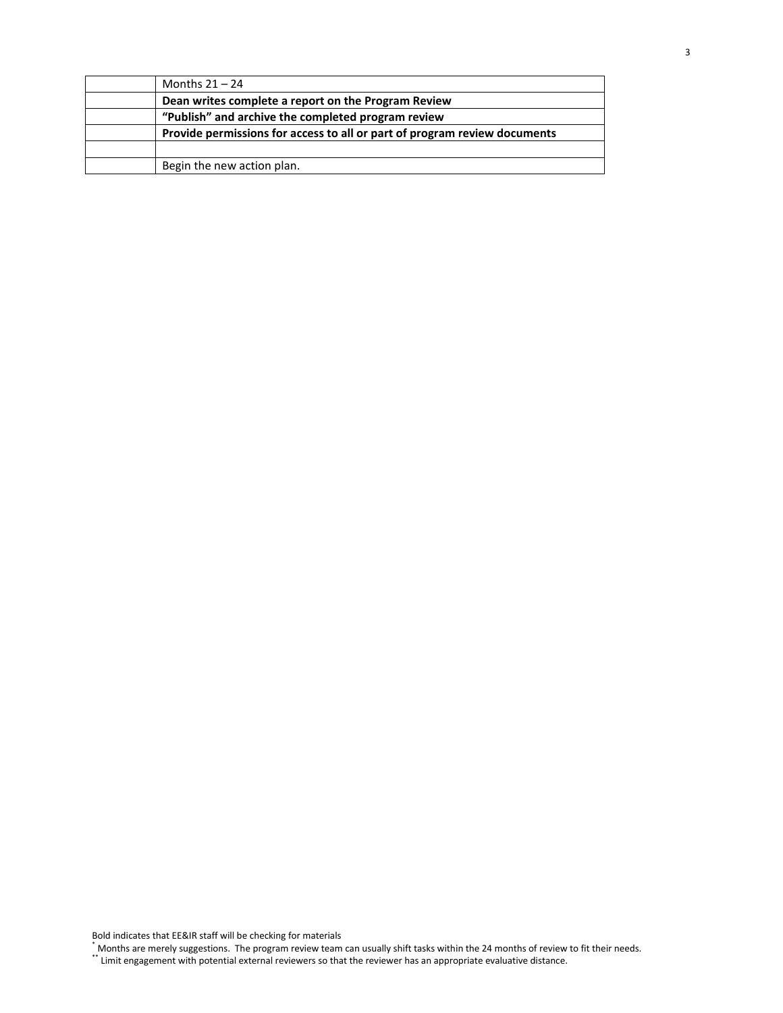| Months $21 - 24$                                                          |
|---------------------------------------------------------------------------|
| Dean writes complete a report on the Program Review                       |
| "Publish" and archive the completed program review                        |
| Provide permissions for access to all or part of program review documents |
|                                                                           |
| Begin the new action plan.                                                |

Bold indicates that EE&IR staff will be checking for materials

\* Months are merely suggestions. The program review team can usually shift tasks within the 24 months of review to fit their needs.

\*\* Limit engagement with potential external reviewers so that the reviewer has an appropriate evaluative distance.